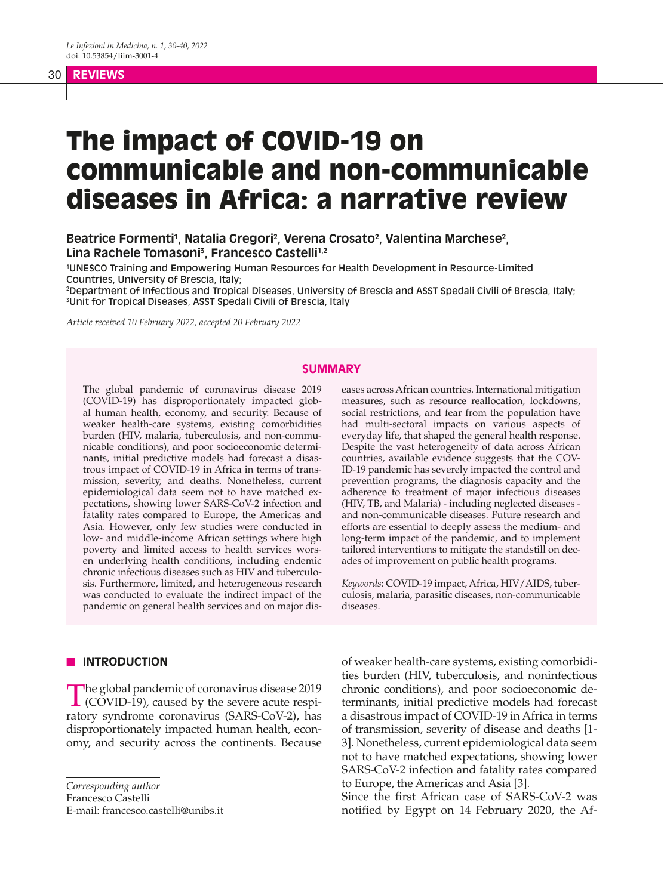## 30 **REVIEWS**

# The impact of COVID-19 on communicable and non-communicable diseases in Africa: a narrative review

Beatrice Formenti<sup>1</sup>, Natalia Gregori<sup>2</sup>, Verena Crosato<sup>2</sup>, Valentina Marchese<sup>2</sup>, **Lina Rachele Tomasoni3 , Francesco Castelli1,2**

1 UNESCO Training and Empowering Human Resources for Health Development in Resource-Limited Countries, University of Brescia, Italy;

2 Department of Infectious and Tropical Diseases, University of Brescia and ASST Spedali Civili of Brescia, Italy; 3 Unit for Tropical Diseases, ASST Spedali Civili of Brescia, Italy

*Article received 10 February 2022, accepted 20 February 2022*

#### **SUMMARY**

The global pandemic of coronavirus disease 2019 (COVID-19) has disproportionately impacted global human health, economy, and security. Because of weaker health-care systems, existing comorbidities burden (HIV, malaria, tuberculosis, and non-communicable conditions), and poor socioeconomic determinants, initial predictive models had forecast a disastrous impact of COVID-19 in Africa in terms of transmission, severity, and deaths. Nonetheless, current epidemiological data seem not to have matched expectations, showing lower SARS-CoV-2 infection and fatality rates compared to Europe, the Americas and Asia. However, only few studies were conducted in low- and middle-income African settings where high poverty and limited access to health services worsen underlying health conditions, including endemic chronic infectious diseases such as HIV and tuberculosis. Furthermore, limited, and heterogeneous research was conducted to evaluate the indirect impact of the pandemic on general health services and on major diseases across African countries. International mitigation measures, such as resource reallocation, lockdowns, social restrictions, and fear from the population have had multi-sectoral impacts on various aspects of everyday life, that shaped the general health response. Despite the vast heterogeneity of data across African countries, available evidence suggests that the COV-ID-19 pandemic has severely impacted the control and prevention programs, the diagnosis capacity and the adherence to treatment of major infectious diseases (HIV, TB, and Malaria) - including neglected diseases and non-communicable diseases. Future research and efforts are essential to deeply assess the medium- and long-term impact of the pandemic, and to implement tailored interventions to mitigate the standstill on decades of improvement on public health programs.

*Keywords*: COVID-19 impact, Africa, HIV/AIDS, tuberculosis, malaria, parasitic diseases, non-communicable diseases.

#### **N** INTRODUCTION

The global pandemic of coronavirus disease 2019<br>(COVID-19), caused by the severe acute respiratory syndrome coronavirus (SARS-CoV-2), has disproportionately impacted human health, economy, and security across the continents. Because

*Corresponding author*

Francesco Castelli

E-mail: francesco.castelli@unibs.it

of weaker health-care systems, existing comorbidities burden (HIV, tuberculosis, and noninfectious chronic conditions), and poor socioeconomic determinants, initial predictive models had forecast a disastrous impact of COVID-19 in Africa in terms of transmission, severity of disease and deaths [1- 3]. Nonetheless, current epidemiological data seem not to have matched expectations, showing lower SARS-CoV-2 infection and fatality rates compared to Europe, the Americas and Asia [3].

Since the first African case of SARS-CoV-2 was notified by Egypt on 14 February 2020, the Af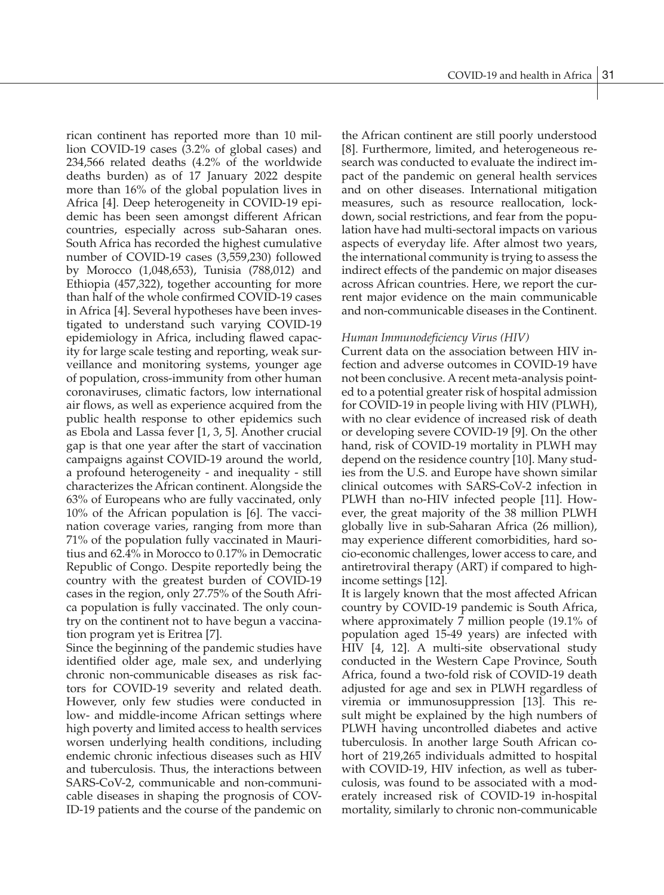rican continent has reported more than 10 million COVID-19 cases (3.2% of global cases) and 234,566 related deaths (4.2% of the worldwide deaths burden) as of 17 January 2022 despite more than 16% of the global population lives in Africa [4]. Deep heterogeneity in COVID-19 epidemic has been seen amongst different African countries, especially across sub-Saharan ones. South Africa has recorded the highest cumulative number of COVID-19 cases (3,559,230) followed by Morocco (1,048,653), Tunisia (788,012) and Ethiopia (457,322), together accounting for more than half of the whole confirmed COVID-19 cases in Africa [4]. Several hypotheses have been investigated to understand such varying COVID-19 epidemiology in Africa, including flawed capacity for large scale testing and reporting, weak surveillance and monitoring systems, younger age of population, cross-immunity from other human coronaviruses, climatic factors, low international air flows, as well as experience acquired from the public health response to other epidemics such as Ebola and Lassa fever [1, 3, 5]. Another crucial gap is that one year after the start of vaccination campaigns against COVID-19 around the world, a profound heterogeneity - and inequality - still characterizes the African continent. Alongside the 63% of Europeans who are fully vaccinated, only 10% of the African population is [6]. The vaccination coverage varies, ranging from more than 71% of the population fully vaccinated in Mauritius and 62.4% in Morocco to 0.17% in Democratic Republic of Congo. Despite reportedly being the country with the greatest burden of COVID-19 cases in the region, only 27.75% of the South Africa population is fully vaccinated. The only country on the continent not to have begun a vaccination program yet is Eritrea [7].

Since the beginning of the pandemic studies have identified older age, male sex, and underlying chronic non-communicable diseases as risk factors for COVID-19 severity and related death. However, only few studies were conducted in low- and middle-income African settings where high poverty and limited access to health services worsen underlying health conditions, including endemic chronic infectious diseases such as HIV and tuberculosis. Thus, the interactions between SARS-CoV-2, communicable and non-communicable diseases in shaping the prognosis of COV-ID-19 patients and the course of the pandemic on

the African continent are still poorly understood [8]. Furthermore, limited, and heterogeneous research was conducted to evaluate the indirect impact of the pandemic on general health services and on other diseases. International mitigation measures, such as resource reallocation, lockdown, social restrictions, and fear from the population have had multi-sectoral impacts on various aspects of everyday life. After almost two years, the international community is trying to assess the indirect effects of the pandemic on major diseases across African countries. Here, we report the current major evidence on the main communicable and non-communicable diseases in the Continent.

### *Human Immunodeficiency Virus (HIV)*

Current data on the association between HIV infection and adverse outcomes in COVID-19 have not been conclusive. A recent meta-analysis pointed to a potential greater risk of hospital admission for COVID-19 in people living with HIV (PLWH), with no clear evidence of increased risk of death or developing severe COVID-19 [9]. On the other hand, risk of COVID-19 mortality in PLWH may depend on the residence country [10]. Many studies from the U.S. and Europe have shown similar clinical outcomes with SARS-CoV-2 infection in PLWH than no-HIV infected people [11]. However, the great majority of the 38 million PLWH globally live in sub-Saharan Africa (26 million), may experience different comorbidities, hard socio-economic challenges, lower access to care, and antiretroviral therapy (ART) if compared to highincome settings [12].

It is largely known that the most affected African country by COVID-19 pandemic is South Africa, where approximately 7 million people (19.1% of population aged 15-49 years) are infected with HIV [4, 12]. A multi-site observational study conducted in the Western Cape Province, South Africa, found a two-fold risk of COVID-19 death adjusted for age and sex in PLWH regardless of viremia or immunosuppression [13]. This result might be explained by the high numbers of PLWH having uncontrolled diabetes and active tuberculosis. In another large South African cohort of 219,265 individuals admitted to hospital with COVID-19, HIV infection, as well as tuberculosis, was found to be associated with a moderately increased risk of COVID-19 in-hospital mortality, similarly to chronic non-communicable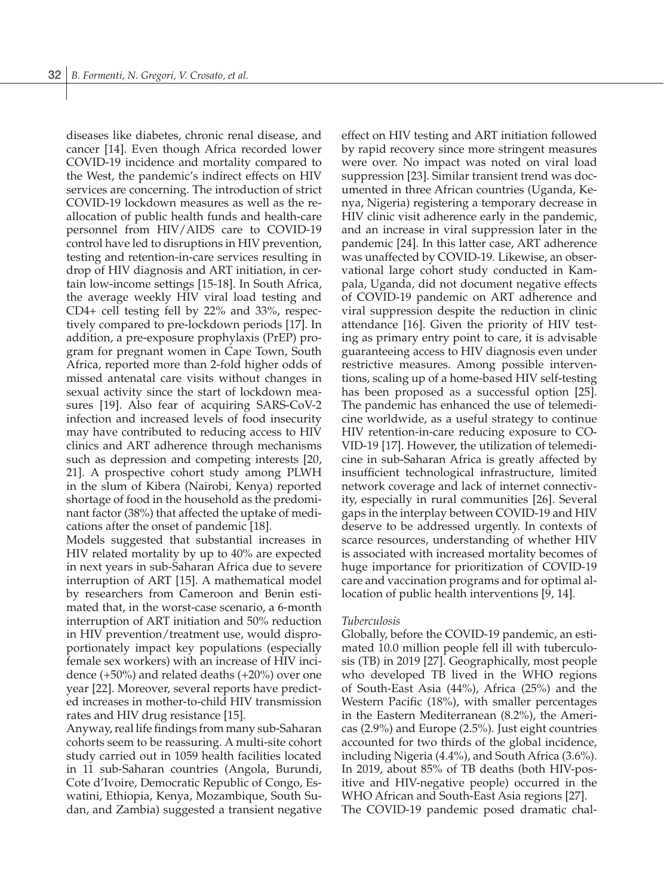diseases like diabetes, chronic renal disease, and cancer [14]. Even though Africa recorded lower COVID-19 incidence and mortality compared to the West, the pandemic's indirect effects on HIV services are concerning. The introduction of strict COVID-19 lockdown measures as well as the reallocation of public health funds and health-care personnel from HIV/AIDS care to COVID-19 control have led to disruptions in HIV prevention, testing and retention-in-care services resulting in drop of HIV diagnosis and ART initiation, in certain low-income settings [15-18]. In South Africa, the average weekly HIV viral load testing and CD4+ cell testing fell by 22% and 33%, respectively compared to pre-lockdown periods [17]. In addition, a pre-exposure prophylaxis (PrEP) program for pregnant women in Cape Town, South Africa, reported more than 2-fold higher odds of missed antenatal care visits without changes in sexual activity since the start of lockdown measures [19]. Also fear of acquiring SARS-CoV-2 infection and increased levels of food insecurity may have contributed to reducing access to HIV clinics and ART adherence through mechanisms such as depression and competing interests [20, 21]. A prospective cohort study among PLWH in the slum of Kibera (Nairobi, Kenya) reported shortage of food in the household as the predominant factor (38%) that affected the uptake of medications after the onset of pandemic [18].

Models suggested that substantial increases in HIV related mortality by up to 40% are expected in next years in sub-Saharan Africa due to severe interruption of ART [15]. A mathematical model by researchers from Cameroon and Benin estimated that, in the worst-case scenario, a 6-month interruption of ART initiation and 50% reduction in HIV prevention/treatment use, would disproportionately impact key populations (especially female sex workers) with an increase of HIV incidence (+50%) and related deaths (+20%) over one year [22]. Moreover, several reports have predicted increases in mother-to-child HIV transmission rates and HIV drug resistance [15].

Anyway, real life findings from many sub-Saharan cohorts seem to be reassuring. A multi-site cohort study carried out in 1059 health facilities located in 11 sub-Saharan countries (Angola, Burundi, Cote d'Ivoire, Democratic Republic of Congo, Eswatini, Ethiopia, Kenya, Mozambique, South Sudan, and Zambia) suggested a transient negative effect on HIV testing and ART initiation followed by rapid recovery since more stringent measures were over. No impact was noted on viral load suppression [23]. Similar transient trend was documented in three African countries (Uganda, Kenya, Nigeria) registering a temporary decrease in HIV clinic visit adherence early in the pandemic, and an increase in viral suppression later in the pandemic [24]. In this latter case, ART adherence was unaffected by COVID-19. Likewise, an observational large cohort study conducted in Kampala, Uganda, did not document negative effects of COVID-19 pandemic on ART adherence and viral suppression despite the reduction in clinic attendance [16]. Given the priority of HIV testing as primary entry point to care, it is advisable guaranteeing access to HIV diagnosis even under restrictive measures. Among possible interventions, scaling up of a home-based HIV self-testing has been proposed as a successful option [25]. The pandemic has enhanced the use of telemedicine worldwide, as a useful strategy to continue HIV retention-in-care reducing exposure to CO-VID-19 [17]. However, the utilization of telemedicine in sub-Saharan Africa is greatly affected by insufficient technological infrastructure, limited network coverage and lack of internet connectivity, especially in rural communities [26]. Several gaps in the interplay between COVID-19 and HIV deserve to be addressed urgently. In contexts of scarce resources, understanding of whether HIV is associated with increased mortality becomes of huge importance for prioritization of COVID-19 care and vaccination programs and for optimal allocation of public health interventions [9, 14].

#### *Tuberculosis*

Globally, before the COVID-19 pandemic, an estimated 10.0 million people fell ill with tuberculosis (TB) in 2019 [27]. Geographically, most people who developed TB lived in the WHO regions of South-East Asia (44%), Africa (25%) and the Western Pacific (18%), with smaller percentages in the Eastern Mediterranean (8.2%), the Americas (2.9%) and Europe (2.5%). Just eight countries accounted for two thirds of the global incidence, including Nigeria (4.4%), and South Africa (3.6%). In 2019, about 85% of TB deaths (both HIV-positive and HIV-negative people) occurred in the WHO African and South-East Asia regions [27]. The COVID-19 pandemic posed dramatic chal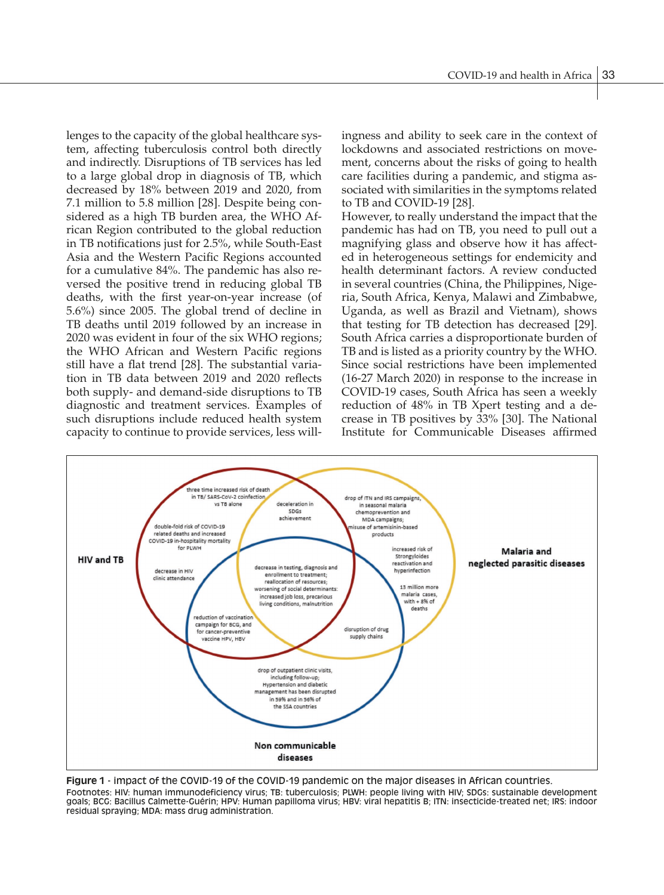lenges to the capacity of the global healthcare system, affecting tuberculosis control both directly and indirectly. Disruptions of TB services has led to a large global drop in diagnosis of TB, which decreased by 18% between 2019 and 2020, from 7.1 million to 5.8 million [28]. Despite being considered as a high TB burden area, the WHO African Region contributed to the global reduction in TB notifications just for 2.5%, while South-East Asia and the Western Pacific Regions accounted for a cumulative 84%. The pandemic has also reversed the positive trend in reducing global TB deaths, with the first year-on-year increase (of 5.6%) since 2005. The global trend of decline in TB deaths until 2019 followed by an increase in 2020 was evident in four of the six WHO regions; the WHO African and Western Pacific regions still have a flat trend [28]. The substantial variation in TB data between 2019 and 2020 reflects both supply- and demand-side disruptions to TB diagnostic and treatment services. Examples of such disruptions include reduced health system capacity to continue to provide services, less willingness and ability to seek care in the context of lockdowns and associated restrictions on movement, concerns about the risks of going to health care facilities during a pandemic, and stigma associated with similarities in the symptoms related to TB and COVID-19 [28].

However, to really understand the impact that the pandemic has had on TB, you need to pull out a magnifying glass and observe how it has affected in heterogeneous settings for endemicity and health determinant factors. A review conducted in several countries (China, the Philippines, Nigeria, South Africa, Kenya, Malawi and Zimbabwe, Uganda, as well as Brazil and Vietnam), shows that testing for TB detection has decreased [29]. South Africa carries a disproportionate burden of TB and is listed as a priority country by the WHO. Since social restrictions have been implemented (16-27 March 2020) in response to the increase in COVID-19 cases, South Africa has seen a weekly reduction of 48% in TB Xpert testing and a decrease in TB positives by 33% [30]. The National Institute for Communicable Diseases affirmed



**Figure 1** - impact of the COVID-19 of the COVID-19 pandemic on the major diseases in African countries. Footnotes: HIV: human immunodeficiency virus; TB: tuberculosis; PLWH: people living with HIV; SDGs: sustainable development goals; BCG: Bacillus Calmette-Guérin; HPV: Human papilloma virus; HBV: viral hepatitis B; ITN: insecticide-treated net; IRS: indoor residual spraying; MDA: mass drug administration.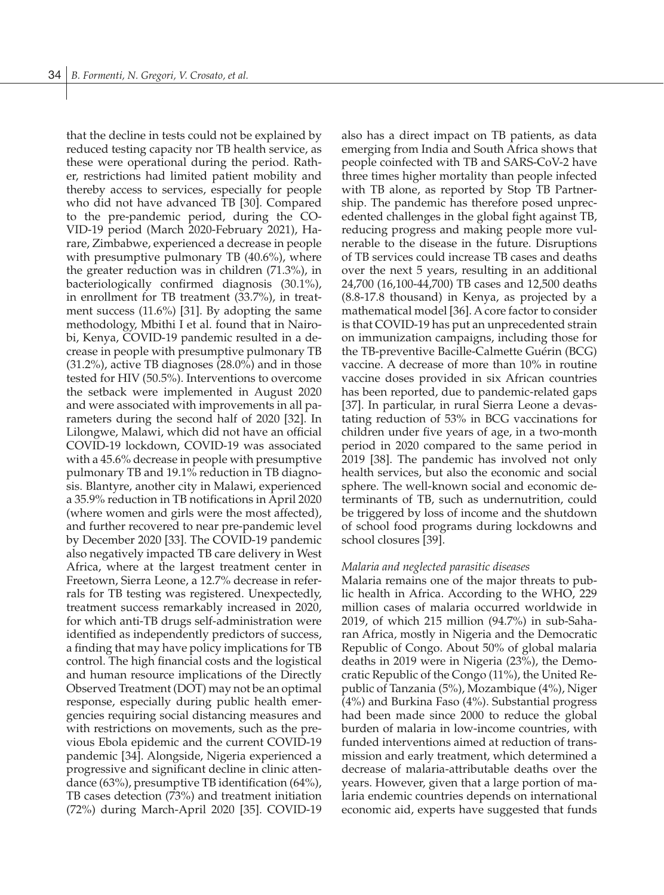that the decline in tests could not be explained by reduced testing capacity nor TB health service, as these were operational during the period. Rather, restrictions had limited patient mobility and thereby access to services, especially for people who did not have advanced TB [30]. Compared to the pre-pandemic period, during the CO-VID-19 period (March 2020-February 2021), Harare, Zimbabwe, experienced a decrease in people with presumptive pulmonary TB (40.6%), where the greater reduction was in children (71.3%), in bacteriologically confirmed diagnosis (30.1%), in enrollment for TB treatment (33.7%), in treatment success (11.6%) [31]. By adopting the same methodology, Mbithi I et al. found that in Nairobi, Kenya, COVID-19 pandemic resulted in a decrease in people with presumptive pulmonary TB (31.2%), active TB diagnoses (28.0%) and in those tested for HIV (50.5%). Interventions to overcome the setback were implemented in August 2020 and were associated with improvements in all parameters during the second half of 2020 [32]. In Lilongwe, Malawi, which did not have an official COVID-19 lockdown, COVID-19 was associated with a 45.6% decrease in people with presumptive pulmonary TB and 19.1% reduction in TB diagnosis. Blantyre, another city in Malawi, experienced a 35.9% reduction in TB notifications in April 2020 (where women and girls were the most affected), and further recovered to near pre-pandemic level by December 2020 [33]. The COVID-19 pandemic also negatively impacted TB care delivery in West Africa, where at the largest treatment center in Freetown, Sierra Leone, a 12.7% decrease in referrals for TB testing was registered. Unexpectedly, treatment success remarkably increased in 2020, for which anti-TB drugs self-administration were identified as independently predictors of success, a finding that may have policy implications for TB control. The high financial costs and the logistical and human resource implications of the Directly Observed Treatment (DOT) may not be an optimal response, especially during public health emergencies requiring social distancing measures and with restrictions on movements, such as the previous Ebola epidemic and the current COVID-19 pandemic [34]. Alongside, Nigeria experienced a progressive and significant decline in clinic attendance (63%), presumptive TB identification (64%), TB cases detection (73%) and treatment initiation (72%) during March-April 2020 [35]. COVID-19 also has a direct impact on TB patients, as data emerging from India and South Africa shows that people coinfected with TB and SARS-CoV-2 have three times higher mortality than people infected with TB alone, as reported by Stop TB Partnership. The pandemic has therefore posed unprecedented challenges in the global fight against TB, reducing progress and making people more vulnerable to the disease in the future. Disruptions of TB services could increase TB cases and deaths over the next 5 years, resulting in an additional 24,700 (16,100-44,700) TB cases and 12,500 deaths (8.8-17.8 thousand) in Kenya, as projected by a mathematical model [36]. A core factor to consider is that COVID-19 has put an unprecedented strain on immunization campaigns, including those for the TB-preventive Bacille-Calmette Guérin (BCG) vaccine. A decrease of more than 10% in routine vaccine doses provided in six African countries has been reported, due to pandemic-related gaps [37]. In particular, in rural Sierra Leone a devastating reduction of 53% in BCG vaccinations for children under five years of age, in a two-month period in 2020 compared to the same period in 2019 [38]. The pandemic has involved not only health services, but also the economic and social sphere. The well-known social and economic determinants of TB, such as undernutrition, could be triggered by loss of income and the shutdown of school food programs during lockdowns and school closures [39].

#### *Malaria and neglected parasitic diseases*

Malaria remains one of the major threats to public health in Africa. According to the WHO, 229 million cases of malaria occurred worldwide in 2019, of which 215 million (94.7%) in sub-Saharan Africa, mostly in Nigeria and the Democratic Republic of Congo. About 50% of global malaria deaths in 2019 were in Nigeria (23%), the Democratic Republic of the Congo (11%), the United Republic of Tanzania (5%), Mozambique (4%), Niger (4%) and Burkina Faso (4%). Substantial progress had been made since 2000 to reduce the global burden of malaria in low-income countries, with funded interventions aimed at reduction of transmission and early treatment, which determined a decrease of malaria-attributable deaths over the years. However, given that a large portion of malaria endemic countries depends on international economic aid, experts have suggested that funds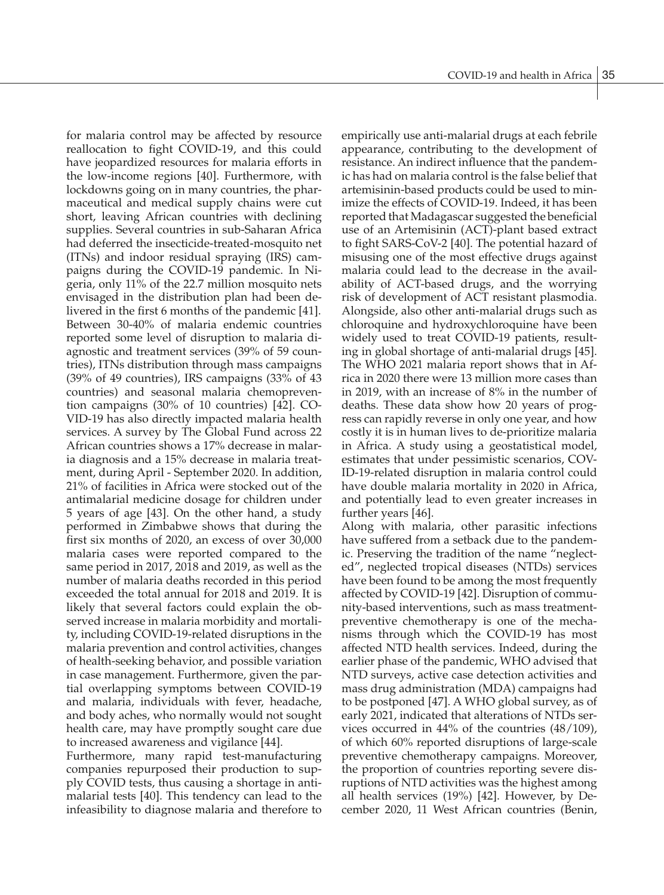for malaria control may be affected by resource reallocation to fight COVID-19, and this could have jeopardized resources for malaria efforts in the low-income regions [40]. Furthermore, with lockdowns going on in many countries, the pharmaceutical and medical supply chains were cut short, leaving African countries with declining supplies. Several countries in sub-Saharan Africa had deferred the insecticide-treated-mosquito net (ITNs) and indoor residual spraying (IRS) campaigns during the COVID-19 pandemic. In Nigeria, only 11% of the 22.7 million mosquito nets envisaged in the distribution plan had been delivered in the first 6 months of the pandemic [41]. Between 30-40% of malaria endemic countries reported some level of disruption to malaria diagnostic and treatment services (39% of 59 countries), ITNs distribution through mass campaigns (39% of 49 countries), IRS campaigns (33% of 43 countries) and seasonal malaria chemoprevention campaigns (30% of 10 countries) [42]. CO-VID-19 has also directly impacted malaria health services. A survey by The Global Fund across 22 African countries shows a 17% decrease in malaria diagnosis and a 15% decrease in malaria treatment, during April - September 2020. In addition, 21% of facilities in Africa were stocked out of the antimalarial medicine dosage for children under 5 years of age [43]. On the other hand, a study performed in Zimbabwe shows that during the first six months of 2020, an excess of over 30,000 malaria cases were reported compared to the same period in 2017, 2018 and 2019, as well as the number of malaria deaths recorded in this period exceeded the total annual for 2018 and 2019. It is likely that several factors could explain the observed increase in malaria morbidity and mortality, including COVID-19-related disruptions in the malaria prevention and control activities, changes of health-seeking behavior, and possible variation in case management. Furthermore, given the partial overlapping symptoms between COVID-19 and malaria, individuals with fever, headache, and body aches, who normally would not sought health care, may have promptly sought care due to increased awareness and vigilance [44].

Furthermore, many rapid test-manufacturing companies repurposed their production to supply COVID tests, thus causing a shortage in antimalarial tests [40]. This tendency can lead to the infeasibility to diagnose malaria and therefore to empirically use anti-malarial drugs at each febrile appearance, contributing to the development of resistance. An indirect influence that the pandemic has had on malaria control is the false belief that artemisinin-based products could be used to minimize the effects of COVID-19. Indeed, it has been reported that Madagascar suggested the beneficial use of an Artemisinin (ACT)-plant based extract to fight SARS-CoV-2 [40]. The potential hazard of misusing one of the most effective drugs against malaria could lead to the decrease in the availability of ACT-based drugs, and the worrying risk of development of ACT resistant plasmodia. Alongside, also other anti-malarial drugs such as chloroquine and hydroxychloroquine have been widely used to treat COVID-19 patients, resulting in global shortage of anti-malarial drugs [45]. The WHO 2021 malaria report shows that in Africa in 2020 there were 13 million more cases than in 2019, with an increase of 8% in the number of deaths. These data show how 20 years of progress can rapidly reverse in only one year, and how costly it is in human lives to de-prioritize malaria in Africa. A study using a geostatistical model, estimates that under pessimistic scenarios, COV-ID-19-related disruption in malaria control could have double malaria mortality in 2020 in Africa, and potentially lead to even greater increases in further years [46].

Along with malaria, other parasitic infections have suffered from a setback due to the pandemic. Preserving the tradition of the name "neglected", neglected tropical diseases (NTDs) services have been found to be among the most frequently affected by COVID-19 [42]. Disruption of community-based interventions, such as mass treatmentpreventive chemotherapy is one of the mechanisms through which the COVID-19 has most affected NTD health services. Indeed, during the earlier phase of the pandemic, WHO advised that NTD surveys, active case detection activities and mass drug administration (MDA) campaigns had to be postponed [47]. A WHO global survey, as of early 2021, indicated that alterations of NTDs services occurred in 44% of the countries (48/109), of which 60% reported disruptions of large-scale preventive chemotherapy campaigns. Moreover, the proportion of countries reporting severe disruptions of NTD activities was the highest among all health services (19%) [42]. However, by December 2020, 11 West African countries (Benin,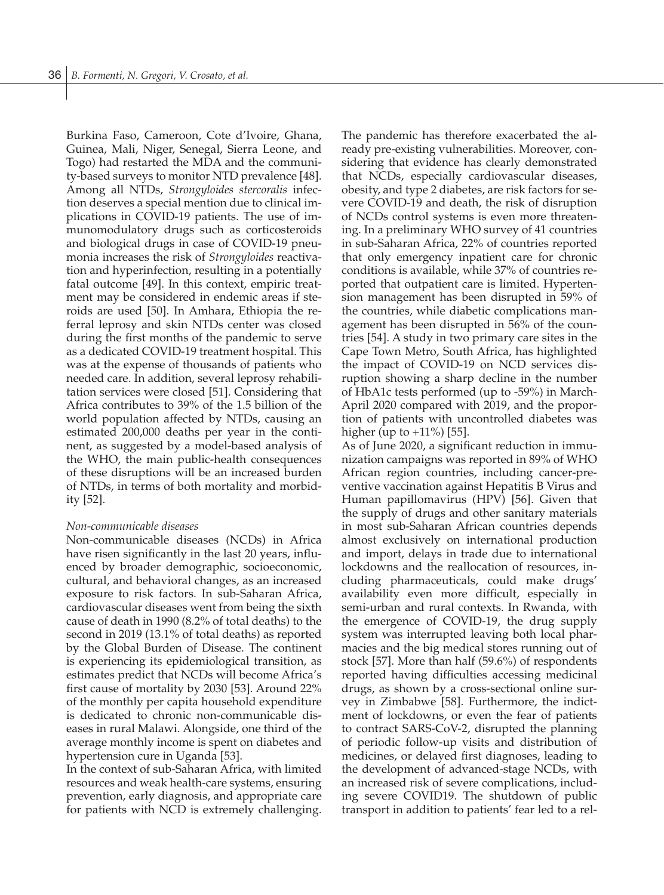Burkina Faso, Cameroon, Cote d'Ivoire, Ghana, Guinea, Mali, Niger, Senegal, Sierra Leone, and Togo) had restarted the MDA and the community-based surveys to monitor NTD prevalence [48]. Among all NTDs, *Strongyloides stercoralis* infection deserves a special mention due to clinical implications in COVID-19 patients. The use of immunomodulatory drugs such as corticosteroids and biological drugs in case of COVID-19 pneumonia increases the risk of *Strongyloides* reactivation and hyperinfection, resulting in a potentially fatal outcome [49]. In this context, empiric treatment may be considered in endemic areas if steroids are used [50]. In Amhara, Ethiopia the referral leprosy and skin NTDs center was closed during the first months of the pandemic to serve as a dedicated COVID-19 treatment hospital. This was at the expense of thousands of patients who needed care. In addition, several leprosy rehabilitation services were closed [51]. Considering that Africa contributes to 39% of the 1.5 billion of the world population affected by NTDs, causing an estimated 200,000 deaths per year in the continent, as suggested by a model-based analysis of the WHO, the main public-health consequences of these disruptions will be an increased burden of NTDs, in terms of both mortality and morbidity [52].

#### *Non-communicable diseases*

Non-communicable diseases (NCDs) in Africa have risen significantly in the last 20 years, influenced by broader demographic, socioeconomic, cultural, and behavioral changes, as an increased exposure to risk factors. In sub-Saharan Africa, cardiovascular diseases went from being the sixth cause of death in 1990 (8.2% of total deaths) to the second in 2019 (13.1% of total deaths) as reported by the Global Burden of Disease. The continent is experiencing its epidemiological transition, as estimates predict that NCDs will become Africa's first cause of mortality by 2030 [53]. Around 22% of the monthly per capita household expenditure is dedicated to chronic non-communicable diseases in rural Malawi. Alongside, one third of the average monthly income is spent on diabetes and hypertension cure in Uganda [53].

In the context of sub-Saharan Africa, with limited resources and weak health-care systems, ensuring prevention, early diagnosis, and appropriate care for patients with NCD is extremely challenging.

The pandemic has therefore exacerbated the already pre-existing vulnerabilities. Moreover, considering that evidence has clearly demonstrated that NCDs, especially cardiovascular diseases, obesity, and type 2 diabetes, are risk factors for severe COVID-19 and death, the risk of disruption of NCDs control systems is even more threatening. In a preliminary WHO survey of 41 countries in sub-Saharan Africa, 22% of countries reported that only emergency inpatient care for chronic conditions is available, while 37% of countries reported that outpatient care is limited. Hypertension management has been disrupted in 59% of the countries, while diabetic complications management has been disrupted in 56% of the countries [54]. A study in two primary care sites in the Cape Town Metro, South Africa, has highlighted the impact of COVID-19 on NCD services disruption showing a sharp decline in the number of HbA1c tests performed (up to -59%) in March-April 2020 compared with 2019, and the proportion of patients with uncontrolled diabetes was higher (up to +11%) [55].

As of June 2020, a significant reduction in immunization campaigns was reported in 89% of WHO African region countries, including cancer-preventive vaccination against Hepatitis B Virus and Human papillomavirus (HPV) [56]. Given that the supply of drugs and other sanitary materials in most sub-Saharan African countries depends almost exclusively on international production and import, delays in trade due to international lockdowns and the reallocation of resources, including pharmaceuticals, could make drugs' availability even more difficult, especially in semi-urban and rural contexts. In Rwanda, with the emergence of COVID-19, the drug supply system was interrupted leaving both local pharmacies and the big medical stores running out of stock [57]. More than half (59.6%) of respondents reported having difficulties accessing medicinal drugs, as shown by a cross-sectional online survey in Zimbabwe [58]. Furthermore, the indictment of lockdowns, or even the fear of patients to contract SARS-CoV-2, disrupted the planning of periodic follow-up visits and distribution of medicines, or delayed first diagnoses, leading to the development of advanced-stage NCDs, with an increased risk of severe complications, including severe COVID19. The shutdown of public transport in addition to patients' fear led to a rel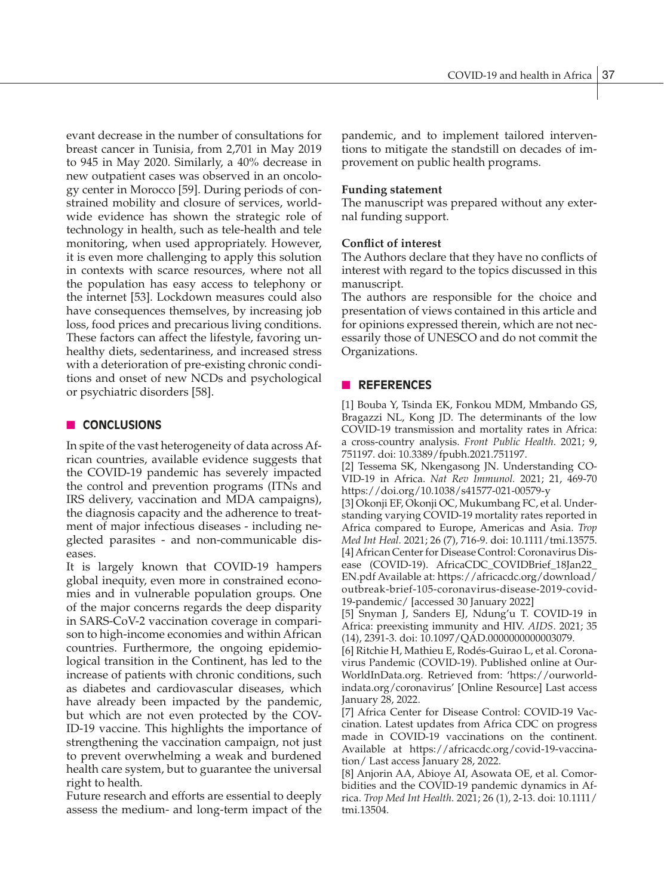evant decrease in the number of consultations for breast cancer in Tunisia, from 2,701 in May 2019 to 945 in May 2020. Similarly, a 40% decrease in new outpatient cases was observed in an oncology center in Morocco [59]. During periods of constrained mobility and closure of services, worldwide evidence has shown the strategic role of technology in health, such as tele-health and tele monitoring, when used appropriately. However, it is even more challenging to apply this solution in contexts with scarce resources, where not all the population has easy access to telephony or the internet [53]. Lockdown measures could also have consequences themselves, by increasing job loss, food prices and precarious living conditions. These factors can affect the lifestyle, favoring unhealthy diets, sedentariness, and increased stress with a deterioration of pre-existing chronic conditions and onset of new NCDs and psychological or psychiatric disorders [58].

# **n CONCLUSIONS**

In spite of the vast heterogeneity of data across African countries, available evidence suggests that the COVID-19 pandemic has severely impacted the control and prevention programs (ITNs and IRS delivery, vaccination and MDA campaigns), the diagnosis capacity and the adherence to treatment of major infectious diseases - including neglected parasites - and non-communicable diseases.

It is largely known that COVID-19 hampers global inequity, even more in constrained economies and in vulnerable population groups. One of the major concerns regards the deep disparity in SARS-CoV-2 vaccination coverage in comparison to high-income economies and within African countries. Furthermore, the ongoing epidemiological transition in the Continent, has led to the increase of patients with chronic conditions, such as diabetes and cardiovascular diseases, which have already been impacted by the pandemic, but which are not even protected by the COV-ID-19 vaccine. This highlights the importance of strengthening the vaccination campaign, not just to prevent overwhelming a weak and burdened health care system, but to guarantee the universal right to health.

Future research and efforts are essential to deeply assess the medium- and long-term impact of the

pandemic, and to implement tailored interventions to mitigate the standstill on decades of improvement on public health programs.

#### **Funding statement**

The manuscript was prepared without any external funding support.

#### **Conflict of interest**

The Authors declare that they have no conflicts of interest with regard to the topics discussed in this manuscript.

The authors are responsible for the choice and presentation of views contained in this article and for opinions expressed therein, which are not necessarily those of UNESCO and do not commit the Organizations.

#### n **REFERENCES**

[1] Bouba Y, Tsinda EK, Fonkou MDM, Mmbando GS, Bragazzi NL, Kong JD. The determinants of the low COVID-19 transmission and mortality rates in Africa: a cross-country analysis. *Front Public Health*. 2021; 9, 751197. doi: 10.3389/fpubh.2021.751197.

[2] Tessema SK, Nkengasong JN. Understanding CO-VID-19 in Africa. *Nat Rev Immunol.* 2021; 21, 469-70 https://doi.org/10.1038/s41577-021-00579-y

[3] Okonji EF, Okonji OC, Mukumbang FC, et al. Understanding varying COVID-19 mortality rates reported in Africa compared to Europe, Americas and Asia. *Trop Med Int Heal.* 2021; 26 (7), 716-9. doi: 10.1111/tmi.13575. [4] African Center for Disease Control: Coronavirus Disease (COVID-19). AfricaCDC\_COVIDBrief\_18Jan22\_ EN.pdf Available at: https://africacdc.org/download/

outbreak-brief-105-coronavirus-disease-2019-covid-19-pandemic/ [accessed 30 January 2022]

[5] Snyman J, Sanders EJ, Ndung'u T. COVID-19 in Africa: preexisting immunity and HIV. *AIDS*. 2021; 35 (14), 2391-3. doi: 10.1097/QAD.0000000000003079.

[6] Ritchie H, Mathieu E, Rodés-Guirao L, et al. Coronavirus Pandemic (COVID-19). Published online at Our-WorldInData.org. Retrieved from: 'https://ourworldindata.org/coronavirus' [Online Resource] Last access January 28, 2022.

[7] Africa Center for Disease Control: COVID-19 Vaccination. Latest updates from Africa CDC on progress made in COVID-19 vaccinations on the continent. Available at https://africacdc.org/covid-19-vaccination/ Last access January 28, 2022.

[8] Anjorin AA, Abioye AI, Asowata OE, et al. Comorbidities and the COVID-19 pandemic dynamics in Africa. *Trop Med Int Health*. 2021; 26 (1), 2-13. doi: 10.1111/ tmi.13504.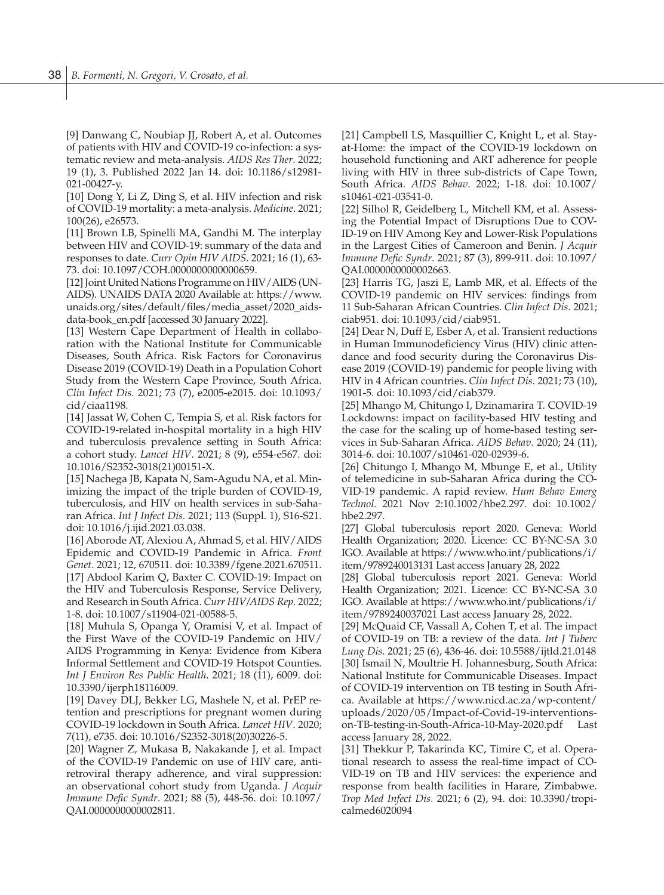[9] Danwang C, Noubiap JJ, Robert A, et al. Outcomes of patients with HIV and COVID-19 co-infection: a systematic review and meta-analysis. *AIDS Res Ther*. 2022; 19 (1), 3. Published 2022 Jan 14. doi: 10.1186/s12981- 021-00427-y.

[10] Dong Y, Li Z, Ding S, et al. HIV infection and risk of COVID-19 mortality: a meta-analysis. *Medicine*. 2021; 100(26), e26573.

[11] Brown LB, Spinelli MA, Gandhi M. The interplay between HIV and COVID-19: summary of the data and responses to date. *Curr Opin HIV AIDS*. 2021; 16 (1), 63- 73. doi: 10.1097/COH.0000000000000659.

[12] Joint United Nations Programme on HIV/AIDS (UN-AIDS). UNAIDS DATA 2020 Available at: https://www. unaids.org/sites/default/files/media\_asset/2020\_aidsdata-book\_en.pdf [accessed 30 January 2022].

[13] Western Cape Department of Health in collaboration with the National Institute for Communicable Diseases, South Africa. Risk Factors for Coronavirus Disease 2019 (COVID-19) Death in a Population Cohort Study from the Western Cape Province, South Africa. *Clin Infect Dis*. 2021; 73 (7), e2005-e2015. doi: 10.1093/ cid/ciaa1198.

[14] Jassat W, Cohen C, Tempia S, et al. Risk factors for COVID-19-related in-hospital mortality in a high HIV and tuberculosis prevalence setting in South Africa: a cohort study. *Lancet HIV*. 2021; 8 (9), e554-e567. doi: 10.1016/S2352-3018(21)00151-X.

[15] Nachega JB, Kapata N, Sam-Agudu NA, et al. Minimizing the impact of the triple burden of COVID-19, tuberculosis, and HIV on health services in sub-Saharan Africa. *Int J Infect Dis.* 2021; 113 (Suppl. 1), S16-S21. doi: 10.1016/j.ijid.2021.03.038.

[16] Aborode AT, Alexiou A, Ahmad S, et al. HIV/AIDS Epidemic and COVID-19 Pandemic in Africa. *Front Genet*. 2021; 12, 670511. doi: 10.3389/fgene.2021.670511. [17] Abdool Karim Q, Baxter C. COVID-19: Impact on the HIV and Tuberculosis Response, Service Delivery, and Research in South Africa. *Curr HIV/AIDS Rep*. 2022; 1-8. doi: 10.1007/s11904-021-00588-5.

[18] Muhula S, Opanga Y, Oramisi V, et al. Impact of the First Wave of the COVID-19 Pandemic on HIV/ AIDS Programming in Kenya: Evidence from Kibera Informal Settlement and COVID-19 Hotspot Counties. *Int J Environ Res Public Health*. 2021; 18 (11), 6009. doi: 10.3390/ijerph18116009.

[19] Davey DLJ, Bekker LG, Mashele N, et al. PrEP retention and prescriptions for pregnant women during COVID-19 lockdown in South Africa. *Lancet HIV*. 2020; 7(11), e735. doi: 10.1016/S2352-3018(20)30226-5.

[20] Wagner Z, Mukasa B, Nakakande J, et al. Impact of the COVID-19 Pandemic on use of HIV care, antiretroviral therapy adherence, and viral suppression: an observational cohort study from Uganda. *J Acquir Immune Defic Syndr*. 2021; 88 (5), 448-56. doi: 10.1097/ QAI.0000000000002811.

[21] Campbell LS, Masquillier C, Knight L, et al. Stayat-Home: the impact of the COVID-19 lockdown on household functioning and ART adherence for people living with HIV in three sub-districts of Cape Town, South Africa. *AIDS Behav*. 2022; 1-18. doi: 10.1007/ s10461-021-03541-0.

[22] Silhol R, Geidelberg L, Mitchell KM, et al. Assessing the Potential Impact of Disruptions Due to COV-ID-19 on HIV Among Key and Lower-Risk Populations in the Largest Cities of Cameroon and Benin. *J Acquir Immune Defic Syndr*. 2021; 87 (3), 899-911. doi: 10.1097/ QAI.0000000000002663.

[23] Harris TG, Jaszi E, Lamb MR, et al. Effects of the COVID-19 pandemic on HIV services: findings from 11 Sub-Saharan African Countries. *Clin Infect Dis*. 2021; ciab951. doi: 10.1093/cid/ciab951.

[24] Dear N, Duff E, Esber A, et al. Transient reductions in Human Immunodeficiency Virus (HIV) clinic attendance and food security during the Coronavirus Disease 2019 (COVID-19) pandemic for people living with HIV in 4 African countries. *Clin Infect Dis*. 2021; 73 (10), 1901-5. doi: 10.1093/cid/ciab379.

[25] Mhango M, Chitungo I, Dzinamarira T. COVID-19 Lockdowns: impact on facility-based HIV testing and the case for the scaling up of home-based testing services in Sub-Saharan Africa. *AIDS Behav*. 2020; 24 (11), 3014-6. doi: 10.1007/s10461-020-02939-6.

[26] Chitungo I, Mhango M, Mbunge E, et al., Utility of telemedicine in sub-Saharan Africa during the CO-VID-19 pandemic. A rapid review. *Hum Behav Emerg Technol.* 2021 Nov 2:10.1002/hbe2.297. doi: 10.1002/ hbe2.297.

[27] Global tuberculosis report 2020. Geneva: World Health Organization; 2020. Licence: CC BY-NC-SA 3.0 IGO. Available at https://www.who.int/publications/i/ item/9789240013131 Last access January 28, 2022

[28] Global tuberculosis report 2021. Geneva: World Health Organization; 2021. Licence: CC BY-NC-SA 3.0 IGO. Available at https://www.who.int/publications/i/ item/9789240037021 Last access January 28, 2022.

[29] McQuaid CF, Vassall A, Cohen T, et al. The impact of COVID-19 on TB: a review of the data. *Int J Tuberc Lung Dis*. 2021; 25 (6), 436-46. doi: 10.5588/ijtld.21.0148 [30] Ismail N, Moultrie H. Johannesburg, South Africa: National Institute for Communicable Diseases. Impact of COVID-19 intervention on TB testing in South Africa. Available at https://www.nicd.ac.za/wp-content/ uploads/2020/05/Impact-of-Covid-19-interventionson-TB-testing-in-South-Africa-10-May-2020.pdf Last access January 28, 2022.

[31] Thekkur P, Takarinda KC, Timire C, et al. Operational research to assess the real-time impact of CO-VID-19 on TB and HIV services: the experience and response from health facilities in Harare, Zimbabwe. *Trop Med Infect Dis*. 2021; 6 (2), 94. doi: 10.3390/tropicalmed6020094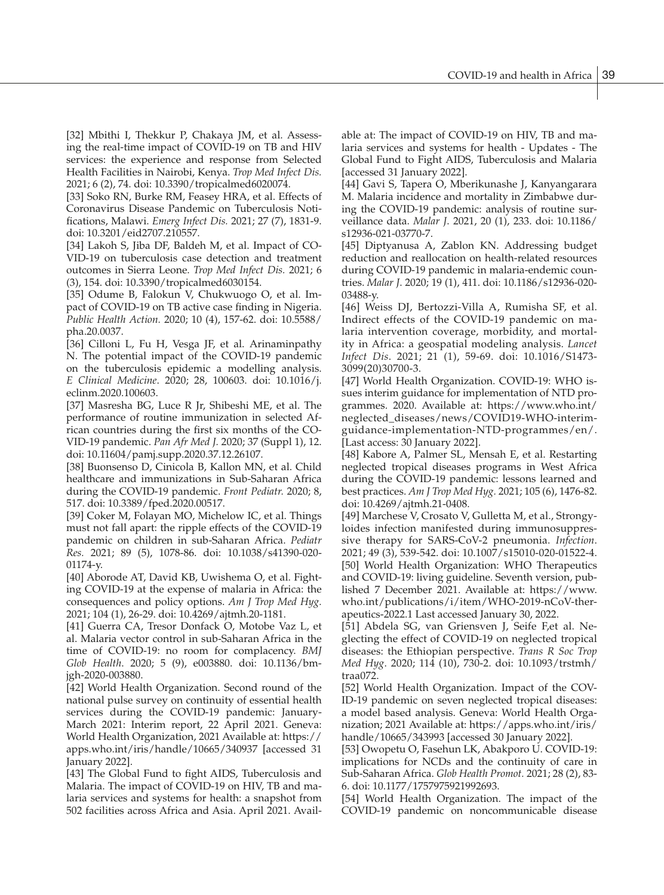[32] Mbithi I, Thekkur P, Chakaya JM, et al. Assessing the real-time impact of COVID-19 on TB and HIV services: the experience and response from Selected Health Facilities in Nairobi, Kenya. *Trop Med Infect Dis.* 2021; 6 (2), 74. doi: 10.3390/tropicalmed6020074.

[33] Soko RN, Burke RM, Feasey HRA, et al. Effects of Coronavirus Disease Pandemic on Tuberculosis Notifications, Malawi. *Emerg Infect Dis.* 2021; 27 (7), 1831-9. doi: 10.3201/eid2707.210557.

[34] Lakoh S, Jiba DF, Baldeh M, et al. Impact of CO-VID-19 on tuberculosis case detection and treatment outcomes in Sierra Leone. *Trop Med Infect Dis.* 2021; 6 (3), 154. doi: 10.3390/tropicalmed6030154.

[35] Odume B, Falokun V, Chukwuogo O, et al. Impact of COVID-19 on TB active case finding in Nigeria. *Public Health Action.* 2020; 10 (4), 157-62. doi: 10.5588/ pha.20.0037.

[36] Cilloni L, Fu H, Vesga JF, et al. Arinaminpathy N. The potential impact of the COVID-19 pandemic on the tuberculosis epidemic a modelling analysis. *E Clinical Medicine*. 2020; 28, 100603. doi: 10.1016/j. eclinm.2020.100603.

[37] Masresha BG, Luce R Jr, Shibeshi ME, et al. The performance of routine immunization in selected African countries during the first six months of the CO-VID-19 pandemic. *Pan Afr Med J.* 2020; 37 (Suppl 1), 12. doi: 10.11604/pamj.supp.2020.37.12.26107.

[38] Buonsenso D, Cinicola B, Kallon MN, et al. Child healthcare and immunizations in Sub-Saharan Africa during the COVID-19 pandemic. *Front Pediatr.* 2020; 8, 517. doi: 10.3389/fped.2020.00517.

[39] Coker M, Folayan MO, Michelow IC, et al. Things must not fall apart: the ripple effects of the COVID-19 pandemic on children in sub-Saharan Africa. *Pediatr Res.* 2021; 89 (5), 1078-86. doi: 10.1038/s41390-020- 01174-y.

[40] Aborode AT, David KB, Uwishema O, et al. Fighting COVID-19 at the expense of malaria in Africa: the consequences and policy options. *Am J Trop Med Hyg.* 2021; 104 (1), 26-29. doi: 10.4269/ajtmh.20-1181.

[41] Guerra CA, Tresor Donfack O, Motobe Vaz L, et al. Malaria vector control in sub-Saharan Africa in the time of COVID-19: no room for complacency. *BMJ Glob Health*. 2020; 5 (9), e003880. doi: 10.1136/bmjgh-2020-003880.

[42] World Health Organization. Second round of the national pulse survey on continuity of essential health services during the COVID-19 pandemic: January-March 2021: Interim report, 22 April 2021. Geneva: World Health Organization, 2021 Available at: https:// apps.who.int/iris/handle/10665/340937 [accessed 31 January 2022].

[43] The Global Fund to fight AIDS, Tuberculosis and Malaria. The impact of COVID-19 on HIV, TB and malaria services and systems for health: a snapshot from 502 facilities across Africa and Asia. April 2021. Available at: The impact of COVID-19 on HIV, TB and malaria services and systems for health - Updates - The Global Fund to Fight AIDS, Tuberculosis and Malaria [accessed 31 January 2022].

[44] Gavi S, Tapera O, Mberikunashe J, Kanyangarara M. Malaria incidence and mortality in Zimbabwe during the COVID-19 pandemic: analysis of routine surveillance data. *Malar J*. 2021, 20 (1), 233. doi: 10.1186/ s12936-021-03770-7.

[45] Diptyanusa A, Zablon KN. Addressing budget reduction and reallocation on health-related resources during COVID-19 pandemic in malaria-endemic countries. *Malar J*. 2020; 19 (1), 411. doi: 10.1186/s12936-020- 03488-y.

[46] Weiss DJ, Bertozzi-Villa A, Rumisha SF, et al. Indirect effects of the COVID-19 pandemic on malaria intervention coverage, morbidity, and mortality in Africa: a geospatial modeling analysis. *Lancet Infect Dis*. 2021; 21 (1), 59-69. doi: 10.1016/S1473- 3099(20)30700-3.

[47] World Health Organization. COVID-19: WHO issues interim guidance for implementation of NTD programmes. 2020. Available at: https://www.who.int/ neglected\_diseases/news/COVID19-WHO-interimguidance-implementation-NTD-programmes/en/. [Last access: 30 January 2022].

[48] Kabore A, Palmer SL, Mensah E, et al. Restarting neglected tropical diseases programs in West Africa during the COVID-19 pandemic: lessons learned and best practices. *Am J Trop Med Hyg.* 2021; 105 (6), 1476-82. doi: 10.4269/ajtmh.21-0408.

[49] Marchese V, Crosato V, Gulletta M, et al., Strongyloides infection manifested during immunosuppressive therapy for SARS-CoV-2 pneumonia. *Infection*. 2021; 49 (3), 539-542. doi: 10.1007/s15010-020-01522-4. [50] World Health Organization: WHO Therapeutics and COVID-19: living guideline. Seventh version, published 7 December 2021. Available at: https://www. who.int/publications/i/item/WHO-2019-nCoV-therapeutics-2022.1 Last accessed January 30, 2022.

[51] Abdela SG, van Griensven J, Seife F,et al. Neglecting the effect of COVID-19 on neglected tropical diseases: the Ethiopian perspective. *Trans R Soc Trop Med Hyg*. 2020; 114 (10), 730-2. doi: 10.1093/trstmh/ traa072.

[52] World Health Organization. Impact of the COV-ID-19 pandemic on seven neglected tropical diseases: a model based analysis. Geneva: World Health Organization; 2021 Available at: https://apps.who.int/iris/ handle/10665/343993 [accessed 30 January 2022].

[53] Owopetu O, Fasehun LK, Abakporo U. COVID-19: implications for NCDs and the continuity of care in Sub-Saharan Africa. *Glob Health Promot.* 2021; 28 (2), 83- 6. doi: 10.1177/1757975921992693.

[54] World Health Organization. The impact of the COVID-19 pandemic on noncommunicable disease